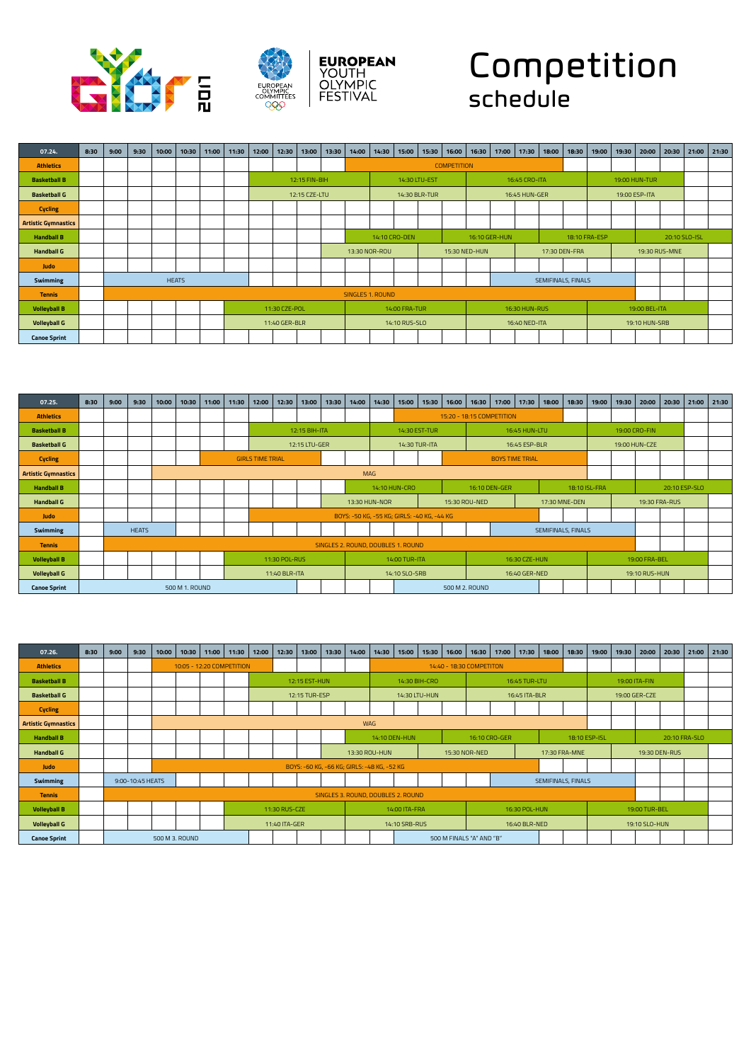



## Competition schedule

| 07.24.                     | 8:30 | 9:00 | 9:30 | 10:00 | 10:30        | 11:00 | 11:30 | 12:00 | 12:30         | 13:00         | 13:30 | 14:00            | 14:30 | 15:00         | 15:30 | 16:00              | 16:30         | 17:00         | 17:30         | 18:00              | 18:30         | 19:00         | 19:30         | 20:00         | 20:30         | 21:00         | 21:30 |
|----------------------------|------|------|------|-------|--------------|-------|-------|-------|---------------|---------------|-------|------------------|-------|---------------|-------|--------------------|---------------|---------------|---------------|--------------------|---------------|---------------|---------------|---------------|---------------|---------------|-------|
| <b>Athletics</b>           |      |      |      |       |              |       |       |       |               |               |       |                  |       |               |       | <b>COMPETITION</b> |               |               |               |                    |               |               |               |               |               |               |       |
| <b>Basketball B</b>        |      |      |      |       |              |       |       |       |               | 12:15 FIN-BIH |       |                  |       | 14:30 LTU-EST |       |                    |               |               | 16:45 CRO-ITA |                    |               |               | 19:00 HUN-TUR |               |               |               |       |
| <b>Basketball G</b>        |      |      |      |       |              |       |       |       |               | 12:15 CZE-LTU |       |                  |       | 14:30 BLR-TUR |       |                    |               |               | 16:45 HUN-GER |                    |               |               |               | 19:00 ESP-ITA |               |               |       |
| <b>Cycling</b>             |      |      |      |       |              |       |       |       |               |               |       |                  |       |               |       |                    |               |               |               |                    |               |               |               |               |               |               |       |
| <b>Artistic Gymnastics</b> |      |      |      |       |              |       |       |       |               |               |       |                  |       |               |       |                    |               |               |               |                    |               |               |               |               |               |               |       |
| <b>Handball B</b>          |      |      |      |       |              |       |       |       |               |               |       |                  |       | 14:10 CRO-DEN |       |                    |               | 16:10 GER-HUN |               |                    |               | 18:10 FRA-ESP |               |               |               | 20:10 SLO-ISL |       |
| <b>Handball G</b>          |      |      |      |       |              |       |       |       |               |               |       | 13:30 NOR-ROU    |       |               |       |                    | 15:30 NED-HUN |               |               |                    | 17:30 DEN-FRA |               |               |               | 19:30 RUS-MNE |               |       |
| Judo                       |      |      |      |       |              |       |       |       |               |               |       |                  |       |               |       |                    |               |               |               |                    |               |               |               |               |               |               |       |
| Swimming                   |      |      |      |       | <b>HEATS</b> |       |       |       |               |               |       |                  |       |               |       |                    |               |               |               | SEMIFINALS, FINALS |               |               |               |               |               |               |       |
| <b>Tennis</b>              |      |      |      |       |              |       |       |       |               |               |       | SINGLES 1, ROUND |       |               |       |                    |               |               |               |                    |               |               |               |               |               |               |       |
| <b>Volleyball B</b>        |      |      |      |       |              |       |       |       | 11:30 CZE-POL |               |       |                  |       | 14:00 FRA-TUR |       |                    |               |               | 16:30 HUN-RUS |                    |               |               |               | 19:00 BEL-ITA |               |               |       |
| <b>Volleyball G</b>        |      |      |      |       |              |       |       |       | 11:40 GER-BLR |               |       |                  |       | 14:10 RUS-SLO |       |                    |               |               | 16:40 NED-ITA |                    |               |               |               | 19:10 HUN-SRB |               |               |       |
| <b>Canoe Sprint</b>        |      |      |      |       |              |       |       |       |               |               |       |                  |       |               |       |                    |               |               |               |                    |               |               |               |               |               |               |       |

| 07.25.                     | 8:30 | 9:00 | 9:30         | 10:00 | 10:30          | 11:00 | 11:30 | 12:00                   | 12:30         | 13:00         | 13:30 | 14:00         | 14:30                              | 15:00         | 15:30                                       | 16:00 | 16:30          | 17:00                     | 17:30         | 18:00                     | 18:30 | 19:00         | 19:30         | 20:00         | 20:30         | 21:00         | 21:30 |
|----------------------------|------|------|--------------|-------|----------------|-------|-------|-------------------------|---------------|---------------|-------|---------------|------------------------------------|---------------|---------------------------------------------|-------|----------------|---------------------------|---------------|---------------------------|-------|---------------|---------------|---------------|---------------|---------------|-------|
| <b>Athletics</b>           |      |      |              |       |                |       |       |                         |               |               |       |               |                                    |               |                                             |       |                | 15:20 - 18:15 COMPETITION |               |                           |       |               |               |               |               |               |       |
| <b>Basketball B</b>        |      |      |              |       |                |       |       |                         |               | 12:15 BIH-ITA |       |               |                                    | 14:30 EST-TUR |                                             |       |                |                           | 16:45 HUN-LTU |                           |       |               | 19:00 CRO-FIN |               |               |               |       |
| <b>Basketball G</b>        |      |      |              |       |                |       |       |                         |               | 12:15 LTU-GER |       |               |                                    | 14:30 TUR-ITA |                                             |       |                |                           | 16:45 ESP-BLR |                           |       |               |               | 19:00 HUN-CZE |               |               |       |
| <b>Cycling</b>             |      |      |              |       |                |       |       | <b>GIRLS TIME TRIAL</b> |               |               |       |               |                                    |               |                                             |       |                | <b>BOYS TIME TRIAL</b>    |               |                           |       |               |               |               |               |               |       |
| <b>Artistic Gymnastics</b> |      |      |              |       |                |       |       |                         |               |               |       | <b>MAG</b>    |                                    |               |                                             |       |                |                           |               |                           |       |               |               |               |               |               |       |
| <b>Handball B</b>          |      |      |              |       |                |       |       |                         |               |               |       |               | 14:10 HUN-CRO                      |               |                                             |       | 16:10 DEN-GER  |                           |               |                           |       | 18:10 ISL-FRA |               |               |               | 20:10 ESP-SLO |       |
| <b>Handball G</b>          |      |      |              |       |                |       |       |                         |               |               |       | 13:30 HUN-NOR |                                    |               |                                             |       | 15:30 ROU-NED  |                           |               | 17:30 MNE-DEN             |       |               |               |               | 19:30 FRA-RUS |               |       |
| Judo                       |      |      |              |       |                |       |       |                         |               |               |       |               |                                    |               | BOYS: -50 KG, -55 KG; GIRLS: -40 KG, -44 KG |       |                |                           |               |                           |       |               |               |               |               |               |       |
| Swimming                   |      |      | <b>HEATS</b> |       |                |       |       |                         |               |               |       |               |                                    |               |                                             |       |                |                           |               | <b>SEMIFINALS, FINALS</b> |       |               |               |               |               |               |       |
| <b>Tennis</b>              |      |      |              |       |                |       |       |                         |               |               |       |               | SINGLES 2. ROUND, DOUBLES 1. ROUND |               |                                             |       |                |                           |               |                           |       |               |               |               |               |               |       |
| <b>Volleyball B</b>        |      |      |              |       |                |       |       |                         | 11:30 POL-RUS |               |       |               |                                    | 14:00 TUR-ITA |                                             |       |                |                           | 16:30 CZE-HUN |                           |       |               |               | 19:00 FRA-BEL |               |               |       |
| <b>Volleyball G</b>        |      |      |              |       |                |       |       |                         | 11:40 BLR-ITA |               |       |               |                                    | 14:10 SLO-SRB |                                             |       |                |                           | 16:40 GER-NED |                           |       |               |               | 19:10 RUS-HUN |               |               |       |
| <b>Canoe Sprint</b>        |      |      |              |       | 500 M 1, ROUND |       |       |                         |               |               |       |               |                                    |               |                                             |       | 500 M 2, ROUND |                           |               |                           |       |               |               |               |               |               |       |

| 07.26.                     | 8:30 | 9:00 | 9:30             | 10:00 | 10:30          | 11:00 | 11:30                     | 12:00 | 12:30         | 13:00         | 13:30 | 14:00                                       | 14:30 | 15:00         | 15:30         | 16:00 | 16:30                    | 17:00 | 17:30         | 18:00              | 18:30         | 19:00 | 19:30 | 20:00         | 20:30         | 21:00         | 21:30 |
|----------------------------|------|------|------------------|-------|----------------|-------|---------------------------|-------|---------------|---------------|-------|---------------------------------------------|-------|---------------|---------------|-------|--------------------------|-------|---------------|--------------------|---------------|-------|-------|---------------|---------------|---------------|-------|
| <b>Athletics</b>           |      |      |                  |       |                |       | 10:05 - 12:20 COMPETITION |       |               |               |       |                                             |       |               |               |       | 14:40 - 18:30 COMPETITON |       |               |                    |               |       |       |               |               |               |       |
| <b>Basketball B</b>        |      |      |                  |       |                |       |                           |       |               | 12:15 EST-HUN |       |                                             |       |               | 14:30 BIH-CRO |       |                          |       | 16:45 TUR-LTU |                    |               |       |       | 19:00 ITA-FIN |               |               |       |
| <b>Basketball G</b>        |      |      |                  |       |                |       |                           |       |               | 12:15 TUR-ESP |       |                                             |       |               | 14:30 LTU-HUN |       |                          |       | 16:45 ITA-BLR |                    |               |       |       | 19:00 GER-CZE |               |               |       |
| <b>Cycling</b>             |      |      |                  |       |                |       |                           |       |               |               |       |                                             |       |               |               |       |                          |       |               |                    |               |       |       |               |               |               |       |
| <b>Artistic Gymnastics</b> |      |      |                  |       |                |       |                           |       |               |               |       | <b>WAG</b>                                  |       |               |               |       |                          |       |               |                    |               |       |       |               |               |               |       |
| <b>Handball B</b>          |      |      |                  |       |                |       |                           |       |               |               |       |                                             |       | 14:10 DEN-HUN |               |       | 16:10 CRO-GER            |       |               |                    | 18:10 ESP-ISL |       |       |               |               | 20:10 FRA-SLO |       |
| <b>Handball G</b>          |      |      |                  |       |                |       |                           |       |               |               |       | 13:30 ROU-HUN                               |       |               |               |       | 15:30 NOR-NED            |       |               | 17:30 FRA-MNE      |               |       |       |               | 19:30 DEN-RUS |               |       |
| Judo                       |      |      |                  |       |                |       |                           |       |               |               |       | BOYS: -60 KG, -66 KG; GIRLS: -48 KG, -52 KG |       |               |               |       |                          |       |               |                    |               |       |       |               |               |               |       |
| <b>Swimming</b>            |      |      | 9:00-10:45 HEATS |       |                |       |                           |       |               |               |       |                                             |       |               |               |       |                          |       |               | SEMIFINALS, FINALS |               |       |       |               |               |               |       |
| <b>Tennis</b>              |      |      |                  |       |                |       |                           |       |               |               |       | SINGLES 3. ROUND, DOUBLES 2. ROUND          |       |               |               |       |                          |       |               |                    |               |       |       |               |               |               |       |
| <b>Volleyball B</b>        |      |      |                  |       |                |       |                           |       | 11:30 RUS-CZE |               |       |                                             |       | 14:00 ITA-FRA |               |       |                          |       | 16:30 POL-HUN |                    |               |       |       | 19:00 TUR-BEL |               |               |       |
| <b>Volleyball G</b>        |      |      |                  |       |                |       |                           |       | 11:40 ITA-GER |               |       |                                             |       | 14:10 SRB-RUS |               |       |                          |       | 16:40 BLR-NED |                    |               |       |       | 19:10 SLO-HUN |               |               |       |
| <b>Canoe Sprint</b>        |      |      |                  |       | 500 M 3, ROUND |       |                           |       |               |               |       |                                             |       |               |               |       | 500 M FINALS "A" AND "B" |       |               |                    |               |       |       |               |               |               |       |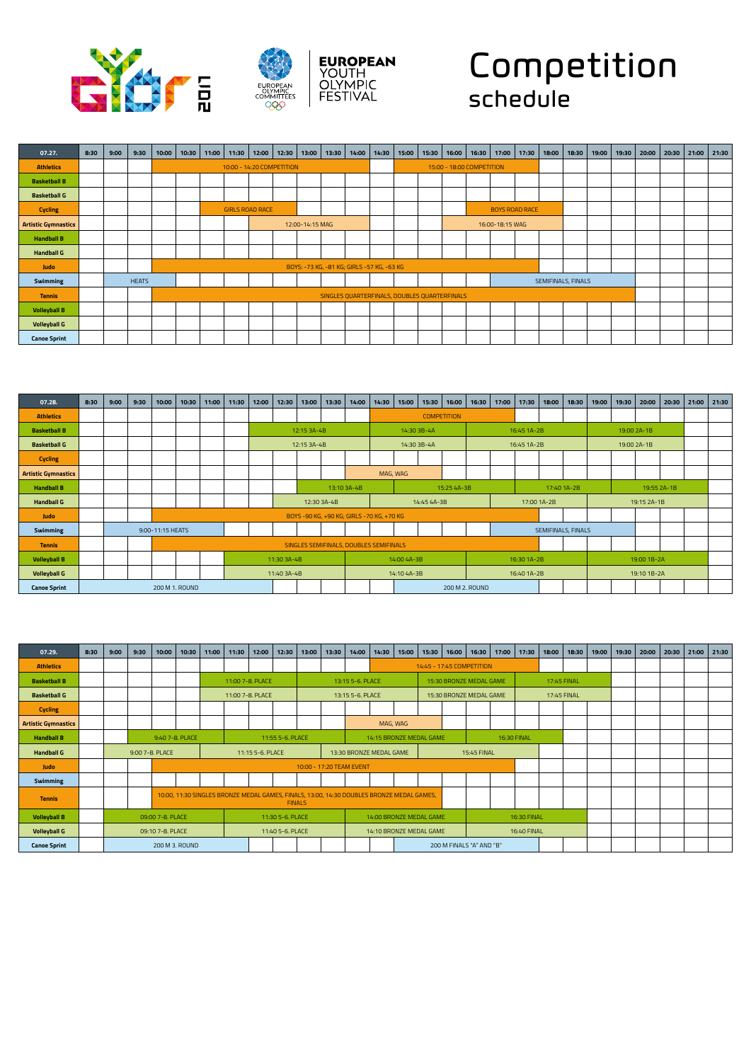



## Competition schedule

| 07.27.                     | 8:30 | 9:00 | 9:30         | 10:00 | 10:30 | 11:00 | 11:30                     | 12:00 | 12:30 | 13:00           | 13:30 | 14:00 | 14:30                                      | 15:00                                        | 15:30 | 16:00 |                           | 16:30 17:00     | 17:30                 | 18:00              | 18:30 | 19:00 | 19:30 | 20:00 | 20:30 | 21:00 | 21:30 |
|----------------------------|------|------|--------------|-------|-------|-------|---------------------------|-------|-------|-----------------|-------|-------|--------------------------------------------|----------------------------------------------|-------|-------|---------------------------|-----------------|-----------------------|--------------------|-------|-------|-------|-------|-------|-------|-------|
| <b>Athletics</b>           |      |      |              |       |       |       | 10:00 - 14:20 COMPETITION |       |       |                 |       |       |                                            |                                              |       |       | 15:00 - 18:00 COMPETITION |                 |                       |                    |       |       |       |       |       |       |       |
| <b>Basketball B</b>        |      |      |              |       |       |       |                           |       |       |                 |       |       |                                            |                                              |       |       |                           |                 |                       |                    |       |       |       |       |       |       |       |
| <b>Basketball G</b>        |      |      |              |       |       |       |                           |       |       |                 |       |       |                                            |                                              |       |       |                           |                 |                       |                    |       |       |       |       |       |       |       |
| <b>Cycling</b>             |      |      |              |       |       |       | <b>GIRLS ROAD RACE</b>    |       |       |                 |       |       |                                            |                                              |       |       |                           |                 | <b>BOYS ROAD RACE</b> |                    |       |       |       |       |       |       |       |
| <b>Artistic Gymnastics</b> |      |      |              |       |       |       |                           |       |       | 12:00-14:15 MAG |       |       |                                            |                                              |       |       |                           | 16:00-18:15 WAG |                       |                    |       |       |       |       |       |       |       |
| <b>Handball B</b>          |      |      |              |       |       |       |                           |       |       |                 |       |       |                                            |                                              |       |       |                           |                 |                       |                    |       |       |       |       |       |       |       |
| <b>Handball G</b>          |      |      |              |       |       |       |                           |       |       |                 |       |       |                                            |                                              |       |       |                           |                 |                       |                    |       |       |       |       |       |       |       |
| Judo                       |      |      |              |       |       |       |                           |       |       |                 |       |       | BOYS: -73 KG, -81 KG; GIRLS -57 KG, -63 KG |                                              |       |       |                           |                 |                       |                    |       |       |       |       |       |       |       |
| Swimming                   |      |      | <b>HEATS</b> |       |       |       |                           |       |       |                 |       |       |                                            |                                              |       |       |                           |                 |                       | SEMIFINALS, FINALS |       |       |       |       |       |       |       |
| <b>Tennis</b>              |      |      |              |       |       |       |                           |       |       |                 |       |       |                                            | SINGLES QUARTERFINALS, DOUBLES QUARTERFINALS |       |       |                           |                 |                       |                    |       |       |       |       |       |       |       |
| <b>Volleyball B</b>        |      |      |              |       |       |       |                           |       |       |                 |       |       |                                            |                                              |       |       |                           |                 |                       |                    |       |       |       |       |       |       |       |
| <b>Volleyball G</b>        |      |      |              |       |       |       |                           |       |       |                 |       |       |                                            |                                              |       |       |                           |                 |                       |                    |       |       |       |       |       |       |       |
| <b>Canoe Sprint</b>        |      |      |              |       |       |       |                           |       |       |                 |       |       |                                            |                                              |       |       |                           |                 |                       |                    |       |       |       |       |       |       |       |

| 07.28.                     | 8:30 | 9:00 | 9:30 | 10:00            | 10:30 | 11:00 | 11:30 | 12:00 | 12:30       | 13:00       | 13:30       | 14:00                                     | 14:30    | 15:00       | 15:30       | 16:00              | 16:30          | 17:00 | 17:30       | 18:00              | 18:30       | 19:00 | 19:30       | 20:00       | 20:30       | 21:00 | 21:30 |
|----------------------------|------|------|------|------------------|-------|-------|-------|-------|-------------|-------------|-------------|-------------------------------------------|----------|-------------|-------------|--------------------|----------------|-------|-------------|--------------------|-------------|-------|-------------|-------------|-------------|-------|-------|
| <b>Athletics</b>           |      |      |      |                  |       |       |       |       |             |             |             |                                           |          |             |             | <b>COMPETITION</b> |                |       |             |                    |             |       |             |             |             |       |       |
| <b>Basketball B</b>        |      |      |      |                  |       |       |       |       |             | 12:15 3A-4B |             |                                           |          |             | 14:30 3B-4A |                    |                |       | 16:45 1A-2B |                    |             |       |             | 19:00 2A-1B |             |       |       |
| <b>Basketball G</b>        |      |      |      |                  |       |       |       |       |             | 12:15 3A-4B |             |                                           |          | 14:30 3B-4A |             |                    |                |       | 16:45 1A-2B |                    |             |       | 19:00 2A-1B |             |             |       |       |
| <b>Cycling</b>             |      |      |      |                  |       |       |       |       |             |             |             |                                           |          |             |             |                    |                |       |             |                    |             |       |             |             |             |       |       |
| <b>Artistic Gymnastics</b> |      |      |      |                  |       |       |       |       |             |             |             |                                           | MAG, WAG |             |             |                    |                |       |             |                    |             |       |             |             |             |       |       |
| <b>Handball B</b>          |      |      |      |                  |       |       |       |       |             |             | 13:10 3A-4B |                                           |          |             |             | 15:25 4A-3B        |                |       |             |                    | 17:40 1A-2B |       |             |             | 19:55 2A-1B |       |       |
| <b>Handball G</b>          |      |      |      |                  |       |       |       |       |             |             | 12:30 3A-4B |                                           |          |             | 14:45 4A-3B |                    |                |       | 17:00 1A-2B |                    |             |       |             | 19:15 2A-1B |             |       |       |
| Judo                       |      |      |      |                  |       |       |       |       |             |             |             | BOYS -90 KG, +90 KG; GIRLS -70 KG, +70 KG |          |             |             |                    |                |       |             |                    |             |       |             |             |             |       |       |
| Swimming                   |      |      |      | 9:00-11:15 HEATS |       |       |       |       |             |             |             |                                           |          |             |             |                    |                |       |             | SEMIFINALS, FINALS |             |       |             |             |             |       |       |
| <b>Tennis</b>              |      |      |      |                  |       |       |       |       |             |             |             | SINGLES SEMIFINALS, DOUBLES SEMIFINALS    |          |             |             |                    |                |       |             |                    |             |       |             |             |             |       |       |
| <b>Volleyball B</b>        |      |      |      |                  |       |       |       |       | 11:30 3A-4B |             |             |                                           |          | 14:00 4A-3B |             |                    |                |       | 16:30 1A-2B |                    |             |       |             | 19:00 1B-2A |             |       |       |
| <b>Volleyball G</b>        |      |      |      |                  |       |       |       |       | 11:40 3A-4B |             |             |                                           |          | 14:10 4A-3B |             |                    |                |       | 16:40 1A-2B |                    |             |       |             | 19:10 1B-2A |             |       |       |
| <b>Canoe Sprint</b>        |      |      |      | 200 M 1. ROUND   |       |       |       |       |             |             |             |                                           |          |             |             |                    | 200 M 2, ROUND |       |             |                    |             |       |             |             |             |       |       |

| 07.29.                     | 8:30 | 9:00 | 9:30 | 10:00            | 10:30           | 11:00 | 11:30                                                                                     | 12:00            | 12:30            | 13:00                    | 13:30 | 14:00            | 14:30                   | 15:00 | 15:30                   | 16:00 | 16:30                     | 17:00       | 17:30       | 18:00       | 18:30 | 19:00 | 19:30 | 20:00 | 20:30 | 21:00 | 21:30 |
|----------------------------|------|------|------|------------------|-----------------|-------|-------------------------------------------------------------------------------------------|------------------|------------------|--------------------------|-------|------------------|-------------------------|-------|-------------------------|-------|---------------------------|-------------|-------------|-------------|-------|-------|-------|-------|-------|-------|-------|
| <b>Athletics</b>           |      |      |      |                  |                 |       |                                                                                           |                  |                  |                          |       |                  |                         |       |                         |       | 14:45 - 17:45 COMPETITION |             |             |             |       |       |       |       |       |       |       |
| <b>Basketball B</b>        |      |      |      |                  |                 |       | 11:00 7-8, PLACE                                                                          |                  |                  |                          |       | 13:15 5-6, PLACE |                         |       |                         |       | 15:30 BRONZE MEDAL GAME   |             |             | 17:45 FINAL |       |       |       |       |       |       |       |
| <b>Basketball G</b>        |      |      |      |                  |                 |       | 11:00 7-8. PLACE                                                                          |                  |                  |                          |       | 13:15 5-6. PLACE |                         |       |                         |       | 15:30 BRONZE MEDAL GAME   |             |             | 17:45 FINAL |       |       |       |       |       |       |       |
| <b>Cycling</b>             |      |      |      |                  |                 |       |                                                                                           |                  |                  |                          |       |                  |                         |       |                         |       |                           |             |             |             |       |       |       |       |       |       |       |
| <b>Artistic Gymnastics</b> |      |      |      |                  |                 |       |                                                                                           |                  |                  |                          |       |                  | MAG, WAG                |       |                         |       |                           |             |             |             |       |       |       |       |       |       |       |
| <b>Handball B</b>          |      |      |      |                  | 9:40 7-8, PLACE |       |                                                                                           |                  | 11:55 5-6, PLACE |                          |       |                  |                         |       | 14:15 BRONZE MEDAL GAME |       |                           | 16:30 FINAL |             |             |       |       |       |       |       |       |       |
| <b>Handball G</b>          |      |      |      | 9:00 7-8, PLACE  |                 |       |                                                                                           | 11:15 5-6, PLACE |                  |                          |       |                  | 13:30 BRONZE MEDAL GAME |       |                         |       | <b>15:45 FINAL</b>        |             |             |             |       |       |       |       |       |       |       |
| Judo                       |      |      |      |                  |                 |       |                                                                                           |                  |                  | 10:00 - 17:20 TEAM EVENT |       |                  |                         |       |                         |       |                           |             |             |             |       |       |       |       |       |       |       |
| Swimming                   |      |      |      |                  |                 |       |                                                                                           |                  |                  |                          |       |                  |                         |       |                         |       |                           |             |             |             |       |       |       |       |       |       |       |
| <b>Tennis</b>              |      |      |      |                  |                 |       | 10:00, 11:30 SINGLES BRONZE MEDAL GAMES, FINALS, 13:00, 14:30 DOUBLES BRONZE MEDAL GAMES, |                  |                  | <b>FINALS</b>            |       |                  |                         |       |                         |       |                           |             |             |             |       |       |       |       |       |       |       |
| <b>Volleyball B</b>        |      |      |      | 09:00 7-8, PLACE |                 |       |                                                                                           |                  | 11:30 5-6. PLACE |                          |       |                  |                         |       | 14:00 BRONZE MEDAL GAME |       |                           |             | 16:30 FINAL |             |       |       |       |       |       |       |       |
| <b>Volleyball G</b>        |      |      |      | 09:10 7-8. PLACE |                 |       |                                                                                           |                  | 11:40 5-6. PLACE |                          |       |                  |                         |       | 14:10 BRONZE MEDAL GAME |       |                           |             | 16:40 FINAL |             |       |       |       |       |       |       |       |
| <b>Canoe Sprint</b>        |      |      |      |                  | 200 M 3. ROUND  |       |                                                                                           |                  |                  |                          |       |                  |                         |       |                         |       | 200 M FINALS "A" AND "B"  |             |             |             |       |       |       |       |       |       |       |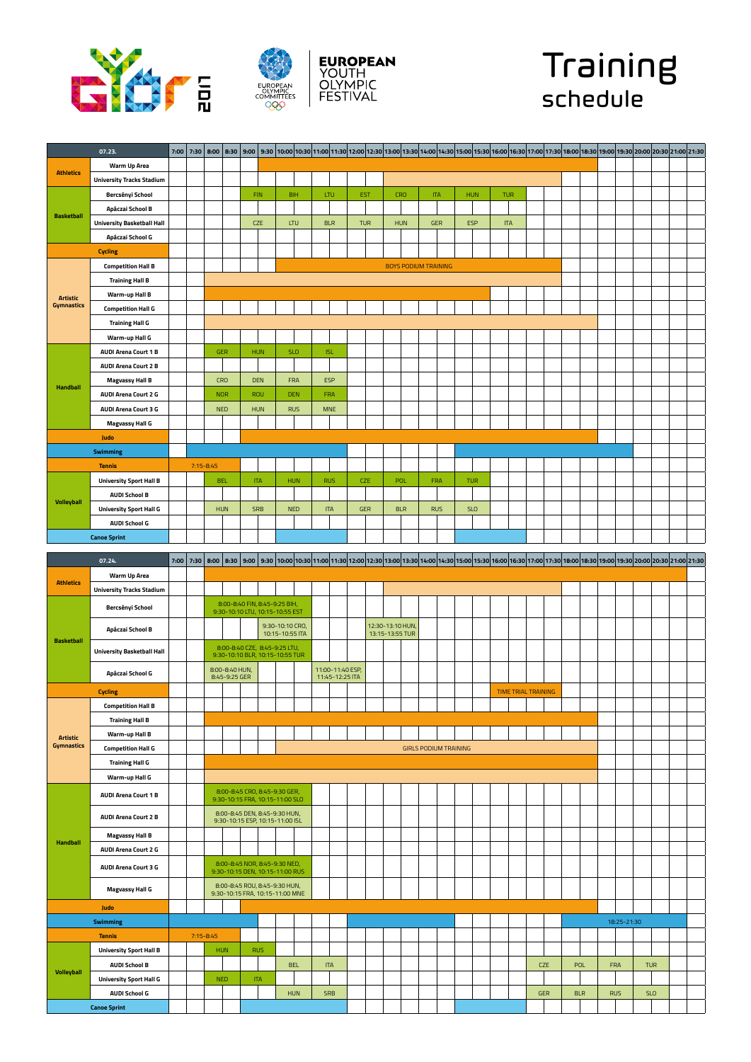





## Training schedule

|                                      | 07.23.                            | 7:00 | 7:30 | 8:00          |                                 |                                                                  |                                    |            |     |                                     |            |                                     |            |                             |                              |            |            |                            |            |            | 8:30 19:00 19:30 20:00 20:30 21:00 21:30 21:00 21:30 14:00 14:30 14:00 16:30 15:30 16:00 16:30 16:00 16:30 20:00 20:30 20:00 19:30 20:00 20:30 21:00 21:30 21:00 21:30 21:00 21:30 20:00 21:30 20:00 20:30 21:00 21:30 21:00 21 |            |            |  |
|--------------------------------------|-----------------------------------|------|------|---------------|---------------------------------|------------------------------------------------------------------|------------------------------------|------------|-----|-------------------------------------|------------|-------------------------------------|------------|-----------------------------|------------------------------|------------|------------|----------------------------|------------|------------|---------------------------------------------------------------------------------------------------------------------------------------------------------------------------------------------------------------------------------|------------|------------|--|
|                                      | Warm Up Area                      |      |      |               |                                 |                                                                  |                                    |            |     |                                     |            |                                     |            |                             |                              |            |            |                            |            |            |                                                                                                                                                                                                                                 |            |            |  |
| <b>Athletics</b>                     | <b>University Tracks Stadium</b>  |      |      |               |                                 |                                                                  |                                    |            |     |                                     |            |                                     |            |                             |                              |            |            |                            |            |            |                                                                                                                                                                                                                                 |            |            |  |
|                                      | Bercsényi School                  |      |      |               |                                 | <b>FIN</b>                                                       |                                    | <b>BIH</b> | LTU |                                     | EST        | <b>CRO</b>                          |            | <b>ITA</b>                  |                              | <b>HUN</b> | <b>TUR</b> |                            |            |            |                                                                                                                                                                                                                                 |            |            |  |
|                                      | Apáczai School B                  |      |      |               |                                 |                                                                  |                                    |            |     |                                     |            |                                     |            |                             |                              |            |            |                            |            |            |                                                                                                                                                                                                                                 |            |            |  |
| <b>Basketball</b>                    | <b>University Basketball Hall</b> |      |      |               |                                 | <b>CZE</b>                                                       |                                    | <b>LTU</b> |     | <b>BLR</b>                          | <b>TUR</b> | <b>HUN</b>                          |            |                             | GER                          | ESP        | <b>ITA</b> |                            |            |            |                                                                                                                                                                                                                                 |            |            |  |
|                                      | Apáczai School G                  |      |      |               |                                 |                                                                  |                                    |            |     |                                     |            |                                     |            |                             |                              |            |            |                            |            |            |                                                                                                                                                                                                                                 |            |            |  |
|                                      |                                   |      |      |               |                                 |                                                                  |                                    |            |     |                                     |            |                                     |            |                             |                              |            |            |                            |            |            |                                                                                                                                                                                                                                 |            |            |  |
|                                      | <b>Cycling</b>                    |      |      |               |                                 |                                                                  |                                    |            |     |                                     |            |                                     |            |                             |                              |            |            |                            |            |            |                                                                                                                                                                                                                                 |            |            |  |
|                                      | <b>Competition Hall B</b>         |      |      |               |                                 |                                                                  |                                    |            |     |                                     |            |                                     |            | <b>BOYS PODIUM TRAINING</b> |                              |            |            |                            |            |            |                                                                                                                                                                                                                                 |            |            |  |
|                                      | <b>Training Hall B</b>            |      |      |               |                                 |                                                                  |                                    |            |     |                                     |            |                                     |            |                             |                              |            |            |                            |            |            |                                                                                                                                                                                                                                 |            |            |  |
| <b>Artistic</b><br><b>Gymnastics</b> | <b>Warm-up Hall B</b>             |      |      |               |                                 |                                                                  |                                    |            |     |                                     |            |                                     |            |                             |                              |            |            |                            |            |            |                                                                                                                                                                                                                                 |            |            |  |
|                                      | <b>Competition Hall G</b>         |      |      |               |                                 |                                                                  |                                    |            |     |                                     |            |                                     |            |                             |                              |            |            |                            |            |            |                                                                                                                                                                                                                                 |            |            |  |
|                                      | <b>Training Hall G</b>            |      |      |               |                                 |                                                                  |                                    |            |     |                                     |            |                                     |            |                             |                              |            |            |                            |            |            |                                                                                                                                                                                                                                 |            |            |  |
|                                      | Warm-up Hall G                    |      |      |               |                                 |                                                                  |                                    |            |     |                                     |            |                                     |            |                             |                              |            |            |                            |            |            |                                                                                                                                                                                                                                 |            |            |  |
|                                      | <b>AUDI Arena Court 1 B</b>       |      |      |               | ${\tt GER}$                     | HUN                                                              |                                    | SLO        |     | $\sf ISL$                           |            |                                     |            |                             |                              |            |            |                            |            |            |                                                                                                                                                                                                                                 |            |            |  |
|                                      | <b>AUDI Arena Court 2 B</b>       |      |      |               |                                 |                                                                  |                                    |            |     |                                     |            |                                     |            |                             |                              |            |            |                            |            |            |                                                                                                                                                                                                                                 |            |            |  |
|                                      | <b>Magvassy Hall B</b>            |      |      |               | <b>CRO</b>                      | <b>DEN</b>                                                       |                                    | FRA        | ESP |                                     |            |                                     |            |                             |                              |            |            |                            |            |            |                                                                                                                                                                                                                                 |            |            |  |
| <b>Handball</b>                      | <b>AUDI Arena Court 2 G</b>       |      |      |               | <b>NOR</b>                      | ROU                                                              |                                    | <b>DEN</b> |     | FRA                                 |            |                                     |            |                             |                              |            |            |                            |            |            |                                                                                                                                                                                                                                 |            |            |  |
|                                      | <b>AUDI Arena Court 3 G</b>       |      |      |               | <b>NED</b>                      | <b>HUN</b>                                                       |                                    | <b>RUS</b> |     | <b>MNE</b>                          |            |                                     |            |                             |                              |            |            |                            |            |            |                                                                                                                                                                                                                                 |            |            |  |
|                                      | <b>Magvassy Hall G</b>            |      |      |               |                                 |                                                                  |                                    |            |     |                                     |            |                                     |            |                             |                              |            |            |                            |            |            |                                                                                                                                                                                                                                 |            |            |  |
|                                      | Judo                              |      |      |               |                                 |                                                                  |                                    |            |     |                                     |            |                                     |            |                             |                              |            |            |                            |            |            |                                                                                                                                                                                                                                 |            |            |  |
|                                      | <b>Swimming</b>                   |      |      |               |                                 |                                                                  |                                    |            |     |                                     |            |                                     |            |                             |                              |            |            |                            |            |            |                                                                                                                                                                                                                                 |            |            |  |
|                                      | <b>Tennis</b>                     |      |      | $7:15 - 8:45$ |                                 |                                                                  |                                    |            |     |                                     |            |                                     |            |                             |                              |            |            |                            |            |            |                                                                                                                                                                                                                                 |            |            |  |
|                                      | <b>University Sport Hall B</b>    |      |      |               | <b>BEL</b>                      | <b>ITA</b>                                                       |                                    | HUN        |     | <b>RUS</b>                          | CZE        | POL                                 |            |                             | FRA                          | TUR        |            |                            |            |            |                                                                                                                                                                                                                                 |            |            |  |
|                                      | <b>AUDI School B</b>              |      |      |               |                                 |                                                                  |                                    |            |     |                                     |            |                                     |            |                             |                              |            |            |                            |            |            |                                                                                                                                                                                                                                 |            |            |  |
| <b>Volleyball</b>                    | <b>University Sport Hall G</b>    |      |      |               | <b>HUN</b>                      | <b>SRB</b>                                                       |                                    | <b>NED</b> |     | <b>ITA</b>                          | <b>GER</b> |                                     | <b>BLR</b> |                             | <b>RUS</b>                   | <b>SLO</b> |            |                            |            |            |                                                                                                                                                                                                                                 |            |            |  |
|                                      | <b>AUDI School G</b>              |      |      |               |                                 |                                                                  |                                    |            |     |                                     |            |                                     |            |                             |                              |            |            |                            |            |            |                                                                                                                                                                                                                                 |            |            |  |
|                                      | <b>Canoe Sprint</b>               |      |      |               |                                 |                                                                  |                                    |            |     |                                     |            |                                     |            |                             |                              |            |            |                            |            |            |                                                                                                                                                                                                                                 |            |            |  |
|                                      |                                   |      |      |               |                                 |                                                                  |                                    |            |     |                                     |            |                                     |            |                             |                              |            |            |                            |            |            |                                                                                                                                                                                                                                 |            |            |  |
|                                      | 07.24.                            | 7:00 | 7:30 |               |                                 |                                                                  |                                    |            |     |                                     |            |                                     |            |                             |                              |            |            |                            |            |            | 8:00 (19:30 20:30 20:30 20:30 20:30 20:30 13:00 11:30 12:30 13:00 13:30 13:00 14:30 14:30 15:00 15:30 15:00 16:30 17:00 17:30 17:00 17:30 18:30 19:00 18:30 19:00 18:30 19:00 18:30 19:00 18:30 19:00 18:30 20:30 20:30 20:30 2 |            |            |  |
|                                      | Warm Up Area                      |      |      |               |                                 |                                                                  |                                    |            |     |                                     |            |                                     |            |                             |                              |            |            |                            |            |            |                                                                                                                                                                                                                                 |            |            |  |
| <b>Athletics</b>                     | <b>University Tracks Stadium</b>  |      |      |               |                                 |                                                                  |                                    |            |     |                                     |            |                                     |            |                             |                              |            |            |                            |            |            |                                                                                                                                                                                                                                 |            |            |  |
|                                      | Bercsényi School                  |      |      |               |                                 | 8:00-8:40 FIN, 8:45-9:25 BIH,                                    |                                    |            |     |                                     |            |                                     |            |                             |                              |            |            |                            |            |            |                                                                                                                                                                                                                                 |            |            |  |
|                                      |                                   |      |      |               |                                 | 9:30-10:10 LTU, 10:15-10:55 EST                                  |                                    |            |     |                                     |            |                                     |            |                             |                              |            |            |                            |            |            |                                                                                                                                                                                                                                 |            |            |  |
|                                      | Apáczai School B                  |      |      |               |                                 |                                                                  | 9:30-10:10 CRO,<br>10:15-10:55 ITA |            |     |                                     |            | 12:30-13:10 HUN,<br>13:15-13:55 TUR |            |                             |                              |            |            |                            |            |            |                                                                                                                                                                                                                                 |            |            |  |
| <b>Basketball</b>                    |                                   |      |      |               |                                 | 8:00-8:40 CZE, 8:45-9:25 LTU,                                    |                                    |            |     |                                     |            |                                     |            |                             |                              |            |            |                            |            |            |                                                                                                                                                                                                                                 |            |            |  |
|                                      | <b>University Basketball Hall</b> |      |      |               |                                 | 9:30-10:10 BLR, 10:15-10:55 TUR                                  |                                    |            |     |                                     |            |                                     |            |                             |                              |            |            |                            |            |            |                                                                                                                                                                                                                                 |            |            |  |
|                                      | Apáczai School G                  |      |      |               | 8:00-8:40 HUN,<br>8:45-9:25 GER |                                                                  |                                    |            |     | 11:00-11:40 ESP,<br>11:45-12:25 ITA |            |                                     |            |                             |                              |            |            |                            |            |            |                                                                                                                                                                                                                                 |            |            |  |
|                                      | <b>Cycling</b>                    |      |      |               |                                 |                                                                  |                                    |            |     |                                     |            |                                     |            |                             |                              |            |            | <b>TIME TRIAL TRAINING</b> |            |            |                                                                                                                                                                                                                                 |            |            |  |
|                                      | <b>Competition Hall B</b>         |      |      |               |                                 |                                                                  |                                    |            |     |                                     |            |                                     |            |                             |                              |            |            |                            |            |            |                                                                                                                                                                                                                                 |            |            |  |
|                                      |                                   |      |      |               |                                 |                                                                  |                                    |            |     |                                     |            |                                     |            |                             |                              |            |            |                            |            |            |                                                                                                                                                                                                                                 |            |            |  |
|                                      | <b>Training Hall B</b>            |      |      |               |                                 |                                                                  |                                    |            |     |                                     |            |                                     |            |                             |                              |            |            |                            |            |            |                                                                                                                                                                                                                                 |            |            |  |
| <b>Artistic</b><br><b>Gymnastics</b> | <b>Warm-up Hall B</b>             |      |      |               |                                 |                                                                  |                                    |            |     |                                     |            |                                     |            |                             |                              |            |            |                            |            |            |                                                                                                                                                                                                                                 |            |            |  |
|                                      | <b>Competition Hall G</b>         |      |      |               |                                 |                                                                  |                                    |            |     |                                     |            |                                     |            |                             | <b>GIRLS PODIUM TRAINING</b> |            |            |                            |            |            |                                                                                                                                                                                                                                 |            |            |  |
|                                      | <b>Training Hall G</b>            |      |      |               |                                 |                                                                  |                                    |            |     |                                     |            |                                     |            |                             |                              |            |            |                            |            |            |                                                                                                                                                                                                                                 |            |            |  |
|                                      | Warm-up Hall G                    |      |      |               |                                 |                                                                  |                                    |            |     |                                     |            |                                     |            |                             |                              |            |            |                            |            |            |                                                                                                                                                                                                                                 |            |            |  |
|                                      | <b>AUDI Arena Court 1 B</b>       |      |      |               |                                 | 8:00-8:45 CRO, 8:45-9:30 GER,<br>9:30-10:15 FRA, 10:15-11:00 SLO |                                    |            |     |                                     |            |                                     |            |                             |                              |            |            |                            |            |            |                                                                                                                                                                                                                                 |            |            |  |
|                                      | <b>AUDI Arena Court 2 B</b>       |      |      |               |                                 | 8:00-8:45 DEN, 8:45-9:30 HUN,                                    |                                    |            |     |                                     |            |                                     |            |                             |                              |            |            |                            |            |            |                                                                                                                                                                                                                                 |            |            |  |
|                                      |                                   |      |      |               |                                 | 9:30-10:15 ESP, 10:15-11:00 ISL                                  |                                    |            |     |                                     |            |                                     |            |                             |                              |            |            |                            |            |            |                                                                                                                                                                                                                                 |            |            |  |
| <b>Handball</b>                      | <b>Magvassy Hall B</b>            |      |      |               |                                 |                                                                  |                                    |            |     |                                     |            |                                     |            |                             |                              |            |            |                            |            |            |                                                                                                                                                                                                                                 |            |            |  |
|                                      | <b>AUDI Arena Court 2 G</b>       |      |      |               |                                 |                                                                  |                                    |            |     |                                     |            |                                     |            |                             |                              |            |            |                            |            |            |                                                                                                                                                                                                                                 |            |            |  |
|                                      | <b>AUDI Arena Court 3 G</b>       |      |      |               |                                 | 8:00-8:45 NOR, 8:45-9:30 NED,<br>9:30-10:15 DEN, 10:15-11:00 RUS |                                    |            |     |                                     |            |                                     |            |                             |                              |            |            |                            |            |            |                                                                                                                                                                                                                                 |            |            |  |
|                                      |                                   |      |      |               |                                 | 8:00-8:45 ROU, 8:45-9:30 HUN,                                    |                                    |            |     |                                     |            |                                     |            |                             |                              |            |            |                            |            |            |                                                                                                                                                                                                                                 |            |            |  |
|                                      | <b>Magvassy Hall G</b>            |      |      |               |                                 | 9:30-10:15 FRA, 10:15-11:00 MNE                                  |                                    |            |     |                                     |            |                                     |            |                             |                              |            |            |                            |            |            |                                                                                                                                                                                                                                 |            |            |  |
|                                      | Judo                              |      |      |               |                                 |                                                                  |                                    |            |     |                                     |            |                                     |            |                             |                              |            |            |                            |            |            |                                                                                                                                                                                                                                 |            |            |  |
|                                      | <b>Swimming</b>                   |      |      |               |                                 |                                                                  |                                    |            |     |                                     |            |                                     |            |                             |                              |            |            |                            |            |            | 18:25-21:30                                                                                                                                                                                                                     |            |            |  |
|                                      | <b>Tennis</b>                     |      |      | $7:15 - 8:45$ |                                 |                                                                  |                                    |            |     |                                     |            |                                     |            |                             |                              |            |            |                            |            |            |                                                                                                                                                                                                                                 |            |            |  |
|                                      | <b>University Sport Hall B</b>    |      |      | HUN           |                                 | <b>RUS</b>                                                       |                                    |            |     |                                     |            |                                     |            |                             |                              |            |            |                            |            |            |                                                                                                                                                                                                                                 |            |            |  |
|                                      | <b>AUDI School B</b>              |      |      |               |                                 |                                                                  |                                    | <b>BEL</b> |     | <b>ITA</b>                          |            |                                     |            |                             |                              |            |            |                            | <b>CZE</b> | POL        | FRA                                                                                                                                                                                                                             |            | <b>TUR</b> |  |
| <b>Volleyball</b>                    |                                   |      |      |               |                                 |                                                                  |                                    |            |     |                                     |            |                                     |            |                             |                              |            |            |                            |            |            |                                                                                                                                                                                                                                 |            |            |  |
|                                      | <b>University Sport Hall G</b>    |      |      |               | <b>NED</b>                      | <b>ITA</b>                                                       |                                    |            |     |                                     |            |                                     |            |                             |                              |            |            |                            |            |            |                                                                                                                                                                                                                                 |            |            |  |
|                                      | <b>AUDI School G</b>              |      |      |               |                                 |                                                                  |                                    | <b>HUN</b> |     | <b>SRB</b>                          |            |                                     |            |                             |                              |            |            | GER                        |            | <b>BLR</b> | <b>RUS</b>                                                                                                                                                                                                                      | <b>SLO</b> |            |  |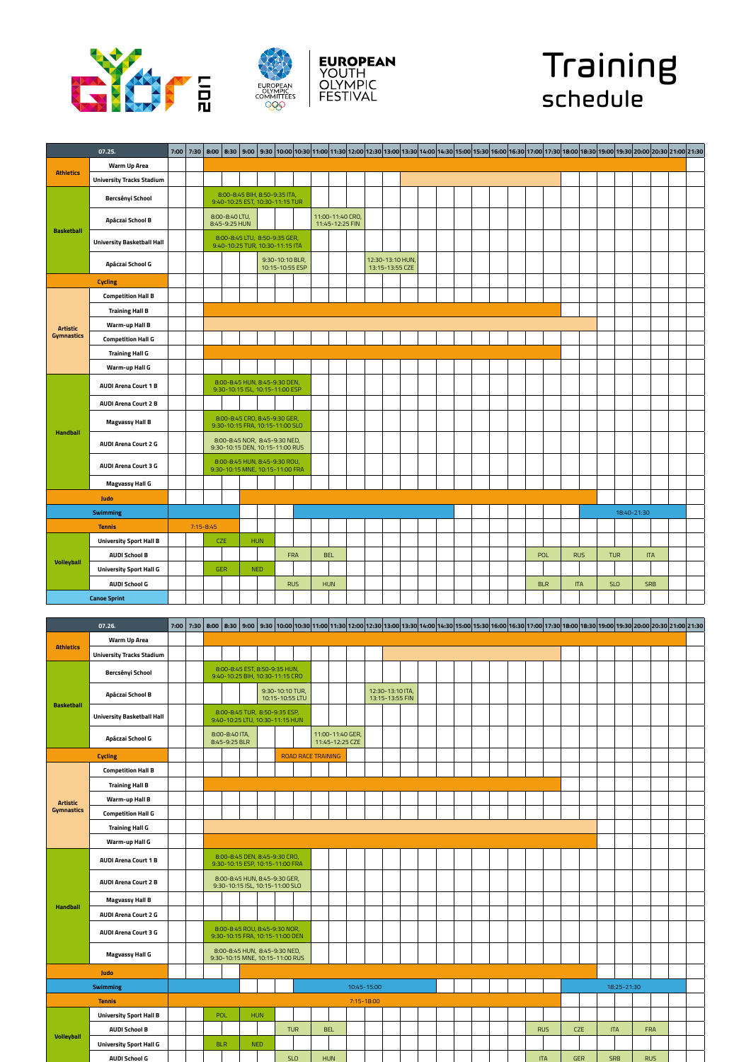







|                   | 07.25.                            | 7:00 | 7:30 | 8:00          |                                 |                                                                  |                                    | 8:30 9:00 0 9:30 10:00 0:30 10:00 10:30 1:00 11:30 12:30 13:00 13:30 14:00 14:30 15:00 15:30 16:00 16:30 17:00 17:30 17:00 13:30 10:00 19:30 20:00 20:30 21:00 21:30 1:30 15:00 16:30 16:00 16:30 17:00 17:30 18:00 18:30 19: |                 |                  |                                     |  |  |  |            |  |            |            |             |            |  |
|-------------------|-----------------------------------|------|------|---------------|---------------------------------|------------------------------------------------------------------|------------------------------------|-------------------------------------------------------------------------------------------------------------------------------------------------------------------------------------------------------------------------------|-----------------|------------------|-------------------------------------|--|--|--|------------|--|------------|------------|-------------|------------|--|
|                   | <b>Warm Up Area</b>               |      |      |               |                                 |                                                                  |                                    |                                                                                                                                                                                                                               |                 |                  |                                     |  |  |  |            |  |            |            |             |            |  |
| <b>Athletics</b>  | <b>University Tracks Stadium</b>  |      |      |               |                                 |                                                                  |                                    |                                                                                                                                                                                                                               |                 |                  |                                     |  |  |  |            |  |            |            |             |            |  |
|                   | Bercsényi School                  |      |      |               |                                 | 8:00-8:45 BIH, 8:50-9:35 ITA,<br>9:40-10:25 EST, 10:30-11:15 TUR |                                    |                                                                                                                                                                                                                               |                 |                  |                                     |  |  |  |            |  |            |            |             |            |  |
|                   | Apáczai School B                  |      |      |               | 8:00-8:40 LTU,<br>8:45-9:25 HUN |                                                                  |                                    |                                                                                                                                                                                                                               | 11:45-12:25 FIN | 11:00-11:40 CRO, |                                     |  |  |  |            |  |            |            |             |            |  |
| <b>Basketball</b> | <b>University Basketball Hall</b> |      |      |               |                                 | 8:00-8:45 LTU, 8:50-9:35 GER,<br>9:40-10:25 TUR, 10:30-11:15 ITA |                                    |                                                                                                                                                                                                                               |                 |                  |                                     |  |  |  |            |  |            |            |             |            |  |
|                   | Apáczai School G                  |      |      |               |                                 |                                                                  | 9:30-10:10 BLR,<br>10:15-10:55 ESP |                                                                                                                                                                                                                               |                 |                  | 12:30-13:10 HUN,<br>13:15-13:55 CZE |  |  |  |            |  |            |            |             |            |  |
|                   | <b>Cycling</b>                    |      |      |               |                                 |                                                                  |                                    |                                                                                                                                                                                                                               |                 |                  |                                     |  |  |  |            |  |            |            |             |            |  |
|                   | <b>Competition Hall B</b>         |      |      |               |                                 |                                                                  |                                    |                                                                                                                                                                                                                               |                 |                  |                                     |  |  |  |            |  |            |            |             |            |  |
|                   | <b>Training Hall B</b>            |      |      |               |                                 |                                                                  |                                    |                                                                                                                                                                                                                               |                 |                  |                                     |  |  |  |            |  |            |            |             |            |  |
| <b>Artistic</b>   | Warm-up Hall B                    |      |      |               |                                 |                                                                  |                                    |                                                                                                                                                                                                                               |                 |                  |                                     |  |  |  |            |  |            |            |             |            |  |
| <b>Gymnastics</b> | <b>Competition Hall G</b>         |      |      |               |                                 |                                                                  |                                    |                                                                                                                                                                                                                               |                 |                  |                                     |  |  |  |            |  |            |            |             |            |  |
|                   | <b>Training Hall G</b>            |      |      |               |                                 |                                                                  |                                    |                                                                                                                                                                                                                               |                 |                  |                                     |  |  |  |            |  |            |            |             |            |  |
|                   | Warm-up Hall G                    |      |      |               |                                 |                                                                  |                                    |                                                                                                                                                                                                                               |                 |                  |                                     |  |  |  |            |  |            |            |             |            |  |
|                   | <b>AUDI Arena Court 1 B</b>       |      |      |               |                                 | 8:00-8:45 HUN, 8:45-9:30 DEN,<br>9:30-10:15 ISL, 10:15-11:00 ESP |                                    |                                                                                                                                                                                                                               |                 |                  |                                     |  |  |  |            |  |            |            |             |            |  |
|                   | <b>AUDI Arena Court 2 B</b>       |      |      |               |                                 |                                                                  |                                    |                                                                                                                                                                                                                               |                 |                  |                                     |  |  |  |            |  |            |            |             |            |  |
|                   | <b>Magvassy Hall B</b>            |      |      |               |                                 | 8:00-8:45 CRO, 8:45-9:30 GER,<br>9:30-10:15 FRA, 10:15-11:00 SLO |                                    |                                                                                                                                                                                                                               |                 |                  |                                     |  |  |  |            |  |            |            |             |            |  |
| <b>Handball</b>   | <b>AUDI Arena Court 2 G</b>       |      |      |               |                                 | 8:00-8:45 NOR, 8:45-9:30 NED,<br>9:30-10:15 DEN, 10:15-11:00 RUS |                                    |                                                                                                                                                                                                                               |                 |                  |                                     |  |  |  |            |  |            |            |             |            |  |
|                   | <b>AUDI Arena Court 3 G</b>       |      |      |               |                                 | 8:00-8:45 HUN, 8:45-9:30 ROU,<br>9:30-10:15 MNE, 10:15-11:00 FRA |                                    |                                                                                                                                                                                                                               |                 |                  |                                     |  |  |  |            |  |            |            |             |            |  |
|                   | <b>Magvassy Hall G</b>            |      |      |               |                                 |                                                                  |                                    |                                                                                                                                                                                                                               |                 |                  |                                     |  |  |  |            |  |            |            |             |            |  |
|                   | Judo                              |      |      |               |                                 |                                                                  |                                    |                                                                                                                                                                                                                               |                 |                  |                                     |  |  |  |            |  |            |            |             |            |  |
|                   | <b>Swimming</b>                   |      |      |               |                                 |                                                                  |                                    |                                                                                                                                                                                                                               |                 |                  |                                     |  |  |  |            |  |            |            | 18:40-21:30 |            |  |
|                   | <b>Tennis</b>                     |      |      | $7:15 - 8:45$ |                                 |                                                                  |                                    |                                                                                                                                                                                                                               |                 |                  |                                     |  |  |  |            |  |            |            |             |            |  |
|                   | <b>University Sport Hall B</b>    |      |      |               | <b>CZE</b>                      | <b>HUN</b>                                                       |                                    |                                                                                                                                                                                                                               |                 |                  |                                     |  |  |  |            |  |            |            |             |            |  |
|                   | <b>AUDI School B</b>              |      |      |               |                                 |                                                                  |                                    | FRA                                                                                                                                                                                                                           | <b>BEL</b>      |                  |                                     |  |  |  | POL        |  | <b>RUS</b> | <b>TUR</b> |             | <b>ITA</b> |  |
| <b>Volleyball</b> | <b>University Sport Hall G</b>    |      |      |               | <b>GER</b>                      | <b>NED</b>                                                       |                                    |                                                                                                                                                                                                                               |                 |                  |                                     |  |  |  |            |  |            |            |             |            |  |
|                   | <b>AUDI School G</b>              |      |      |               |                                 |                                                                  |                                    | <b>RUS</b>                                                                                                                                                                                                                    | <b>HUN</b>      |                  |                                     |  |  |  | <b>BLR</b> |  | <b>ITA</b> | <b>SLO</b> | <b>SRB</b>  |            |  |
|                   | <b>Canoe Sprint</b>               |      |      |               |                                 |                                                                  |                                    |                                                                                                                                                                                                                               |                 |                  |                                     |  |  |  |            |  |            |            |             |            |  |

|                   | 07.26.                            |  |                                                                  |            |                                    |                           |                 |                  |                |                                     |  |  |  |            |            |            |            |             |            |  |  |
|-------------------|-----------------------------------|--|------------------------------------------------------------------|------------|------------------------------------|---------------------------|-----------------|------------------|----------------|-------------------------------------|--|--|--|------------|------------|------------|------------|-------------|------------|--|--|
|                   | <b>Warm Up Area</b>               |  |                                                                  |            |                                    |                           |                 |                  |                |                                     |  |  |  |            |            |            |            |             |            |  |  |
| <b>Athletics</b>  | <b>University Tracks Stadium</b>  |  |                                                                  |            |                                    |                           |                 |                  |                |                                     |  |  |  |            |            |            |            |             |            |  |  |
|                   | Bercsényi School                  |  | 8:00-8:45 EST, 8:50-9:35 HUN,<br>9:40-10:25 BIH, 10:30-11:15 CRO |            |                                    |                           |                 |                  |                |                                     |  |  |  |            |            |            |            |             |            |  |  |
| <b>Basketball</b> | Apáczai School B                  |  |                                                                  |            | 9:30-10:10 TUR,<br>10:15-10:55 LTU |                           |                 |                  |                | 12:30-13:10 ITA,<br>13:15-13:55 FIN |  |  |  |            |            |            |            |             |            |  |  |
|                   | <b>University Basketball Hall</b> |  | 8:00-8:45 TUR, 8:50-9:35 ESP,<br>9:40-10:25 LTU, 10:30-11:15 HUN |            |                                    |                           |                 |                  |                |                                     |  |  |  |            |            |            |            |             |            |  |  |
|                   | Apáczai School G                  |  | 8:00-8:40 ITA,<br>8:45-9:25 BLR                                  |            |                                    |                           | 11:45-12:25 CZE | 11:00-11:40 GER, |                |                                     |  |  |  |            |            |            |            |             |            |  |  |
|                   | <b>Cycling</b>                    |  |                                                                  |            |                                    | <b>ROAD RACE TRAINING</b> |                 |                  |                |                                     |  |  |  |            |            |            |            |             |            |  |  |
|                   | <b>Competition Hall B</b>         |  |                                                                  |            |                                    |                           |                 |                  |                |                                     |  |  |  |            |            |            |            |             |            |  |  |
|                   | <b>Training Hall B</b>            |  |                                                                  |            |                                    |                           |                 |                  |                |                                     |  |  |  |            |            |            |            |             |            |  |  |
| <b>Artistic</b>   | <b>Warm-up Hall B</b>             |  |                                                                  |            |                                    |                           |                 |                  |                |                                     |  |  |  |            |            |            |            |             |            |  |  |
| <b>Gymnastics</b> | <b>Competition Hall G</b>         |  |                                                                  |            |                                    |                           |                 |                  |                |                                     |  |  |  |            |            |            |            |             |            |  |  |
|                   | <b>Training Hall G</b>            |  |                                                                  |            |                                    |                           |                 |                  |                |                                     |  |  |  |            |            |            |            |             |            |  |  |
|                   | Warm-up Hall G                    |  |                                                                  |            |                                    |                           |                 |                  |                |                                     |  |  |  |            |            |            |            |             |            |  |  |
|                   | <b>AUDI Arena Court 1 B</b>       |  | 8:00-8:45 DEN, 8:45-9:30 CRO,<br>9:30-10:15 ESP, 10:15-11:00 FRA |            |                                    |                           |                 |                  |                |                                     |  |  |  |            |            |            |            |             |            |  |  |
|                   | <b>AUDI Arena Court 2 B</b>       |  | 8:00-8:45 HUN, 8:45-9:30 GER,<br>9:30-10:15 ISL, 10:15-11:00 SLO |            |                                    |                           |                 |                  |                |                                     |  |  |  |            |            |            |            |             |            |  |  |
| <b>Handball</b>   | <b>Magvassy Hall B</b>            |  |                                                                  |            |                                    |                           |                 |                  |                |                                     |  |  |  |            |            |            |            |             |            |  |  |
|                   | <b>AUDI Arena Court 2 G</b>       |  |                                                                  |            |                                    |                           |                 |                  |                |                                     |  |  |  |            |            |            |            |             |            |  |  |
|                   | <b>AUDI Arena Court 3 G</b>       |  | 8:00-8:45 ROU, 8:45-9:30 NOR,<br>9:30-10:15 FRA, 10:15-11:00 DEN |            |                                    |                           |                 |                  |                |                                     |  |  |  |            |            |            |            |             |            |  |  |
|                   | <b>Magvassy Hall G</b>            |  | 8:00-8:45 HUN, 8:45-9:30 NED,<br>9:30-10:15 MNE, 10:15-11:00 RUS |            |                                    |                           |                 |                  |                |                                     |  |  |  |            |            |            |            |             |            |  |  |
|                   | Judo                              |  |                                                                  |            |                                    |                           |                 |                  |                |                                     |  |  |  |            |            |            |            |             |            |  |  |
|                   | <b>Swimming</b>                   |  |                                                                  |            |                                    |                           |                 |                  | 10:45-15:00    |                                     |  |  |  |            |            |            |            | 18:25-21:30 |            |  |  |
|                   | <b>Tennis</b>                     |  |                                                                  |            |                                    |                           |                 |                  | $7:15 - 18:00$ |                                     |  |  |  |            |            |            |            |             |            |  |  |
|                   | <b>University Sport Hall B</b>    |  | POL                                                              | <b>HUN</b> |                                    |                           |                 |                  |                |                                     |  |  |  |            |            |            |            |             |            |  |  |
|                   | <b>AUDI School B</b>              |  |                                                                  |            | <b>TUR</b>                         | <b>BEL</b>                |                 |                  |                |                                     |  |  |  | <b>RUS</b> |            | <b>CZE</b> | <b>ITA</b> |             | FRA        |  |  |
| <b>Volleyball</b> | <b>University Sport Hall G</b>    |  | <b>BLR</b>                                                       | <b>NED</b> |                                    |                           |                 |                  |                |                                     |  |  |  |            |            |            |            |             |            |  |  |
|                   | <b>AUDI School G</b>              |  |                                                                  |            | <b>SLO</b>                         | <b>HUN</b>                |                 |                  |                |                                     |  |  |  | <b>ITA</b> | <b>GER</b> |            | <b>SRB</b> |             | <b>RUS</b> |  |  |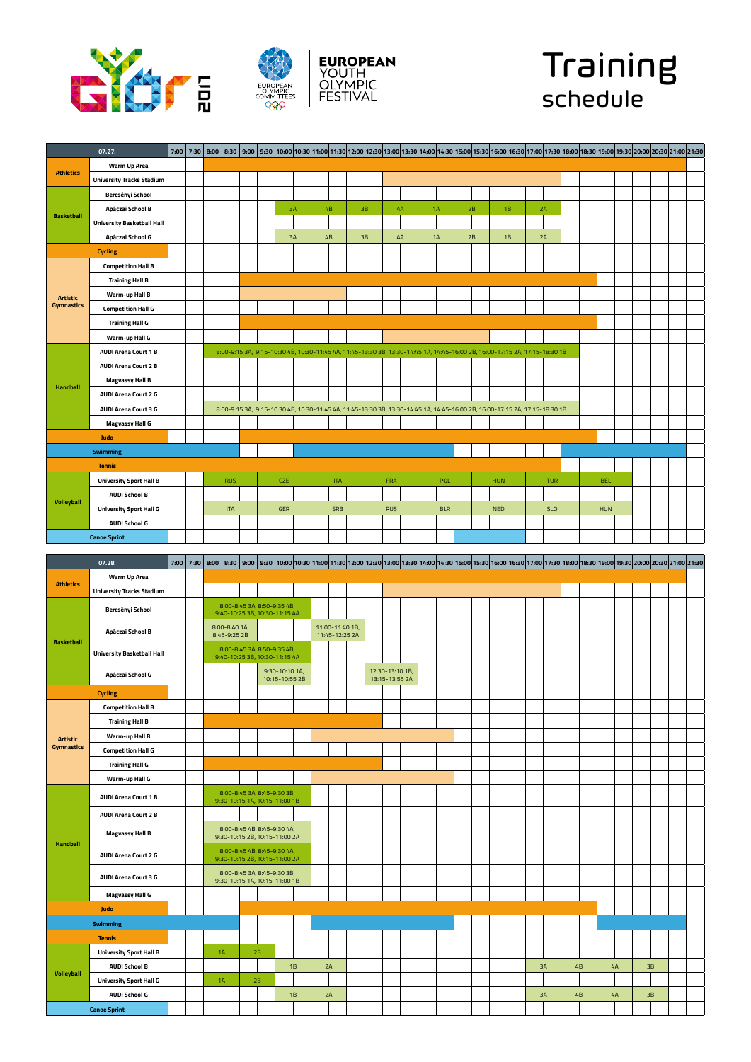







|                   | 07.27.                            | 7:00 | 7:30 |            |  |            |    |            |            |    |            |                                                                                                                             |            |    |            |    |            |  |            |  | 8:00 13:00 19:00 19:00 19:30 10:00 10:30 11:00 11:30 12:30 12:30 13:00 13:30 14:00 14:30 15:00 15:30 15:00 16:30 17:00 17:30 17:00 17:30 19:00 18:30 19:00 18:30 19:00 19:30 20:00 20:30 21:00 21:30 |  |
|-------------------|-----------------------------------|------|------|------------|--|------------|----|------------|------------|----|------------|-----------------------------------------------------------------------------------------------------------------------------|------------|----|------------|----|------------|--|------------|--|------------------------------------------------------------------------------------------------------------------------------------------------------------------------------------------------------|--|
|                   | <b>Warm Up Area</b>               |      |      |            |  |            |    |            |            |    |            |                                                                                                                             |            |    |            |    |            |  |            |  |                                                                                                                                                                                                      |  |
| <b>Athletics</b>  | <b>University Tracks Stadium</b>  |      |      |            |  |            |    |            |            |    |            |                                                                                                                             |            |    |            |    |            |  |            |  |                                                                                                                                                                                                      |  |
|                   | Bercsényi School                  |      |      |            |  |            |    |            |            |    |            |                                                                                                                             |            |    |            |    |            |  |            |  |                                                                                                                                                                                                      |  |
|                   | Apáczai School B                  |      |      |            |  |            | 3A | 4 <b>B</b> |            | 3B |            | 4A                                                                                                                          | 1A         | 2B |            | 1B | 2A         |  |            |  |                                                                                                                                                                                                      |  |
| <b>Basketball</b> | <b>University Basketball Hall</b> |      |      |            |  |            |    |            |            |    |            |                                                                                                                             |            |    |            |    |            |  |            |  |                                                                                                                                                                                                      |  |
|                   | Apáczai School G                  |      |      |            |  |            | 3A | 4B         |            | 3B |            | 4A                                                                                                                          | 1A         | 2B |            | 1B | 2A         |  |            |  |                                                                                                                                                                                                      |  |
|                   | <b>Cycling</b>                    |      |      |            |  |            |    |            |            |    |            |                                                                                                                             |            |    |            |    |            |  |            |  |                                                                                                                                                                                                      |  |
|                   | <b>Competition Hall B</b>         |      |      |            |  |            |    |            |            |    |            |                                                                                                                             |            |    |            |    |            |  |            |  |                                                                                                                                                                                                      |  |
|                   | <b>Training Hall B</b>            |      |      |            |  |            |    |            |            |    |            |                                                                                                                             |            |    |            |    |            |  |            |  |                                                                                                                                                                                                      |  |
| <b>Artistic</b>   | Warm-up Hall B                    |      |      |            |  |            |    |            |            |    |            |                                                                                                                             |            |    |            |    |            |  |            |  |                                                                                                                                                                                                      |  |
| <b>Gymnastics</b> | <b>Competition Hall G</b>         |      |      |            |  |            |    |            |            |    |            |                                                                                                                             |            |    |            |    |            |  |            |  |                                                                                                                                                                                                      |  |
|                   | <b>Training Hall G</b>            |      |      |            |  |            |    |            |            |    |            |                                                                                                                             |            |    |            |    |            |  |            |  |                                                                                                                                                                                                      |  |
|                   | Warm-up Hall G                    |      |      |            |  |            |    |            |            |    |            |                                                                                                                             |            |    |            |    |            |  |            |  |                                                                                                                                                                                                      |  |
|                   | <b>AUDI Arena Court 1 B</b>       |      |      |            |  |            |    |            |            |    |            | 8:00-9:15 3A, 9:15-10:30 4B, 10:30-11:45 4A, 11:45-13:30 3B, 13:30-14:45 1A, 14:45-16:00 2B, 16:00-17:15 2A, 17:15-18:30 1B |            |    |            |    |            |  |            |  |                                                                                                                                                                                                      |  |
|                   | <b>AUDI Arena Court 2 B</b>       |      |      |            |  |            |    |            |            |    |            |                                                                                                                             |            |    |            |    |            |  |            |  |                                                                                                                                                                                                      |  |
| <b>Handball</b>   | <b>Magvassy Hall B</b>            |      |      |            |  |            |    |            |            |    |            |                                                                                                                             |            |    |            |    |            |  |            |  |                                                                                                                                                                                                      |  |
|                   | <b>AUDI Arena Court 2 G</b>       |      |      |            |  |            |    |            |            |    |            |                                                                                                                             |            |    |            |    |            |  |            |  |                                                                                                                                                                                                      |  |
|                   | <b>AUDI Arena Court 3 G</b>       |      |      |            |  |            |    |            |            |    |            | 8:00-9:15 3A, 9:15-10:30 4B, 10:30-11:45 4A, 11:45-13:30 3B, 13:30-14:45 1A, 14:45-16:00 2B, 16:00-17:15 2A, 17:15-18:30 1B |            |    |            |    |            |  |            |  |                                                                                                                                                                                                      |  |
|                   | <b>Magvassy Hall G</b>            |      |      |            |  |            |    |            |            |    |            |                                                                                                                             |            |    |            |    |            |  |            |  |                                                                                                                                                                                                      |  |
|                   | Judo                              |      |      |            |  |            |    |            |            |    |            |                                                                                                                             |            |    |            |    |            |  |            |  |                                                                                                                                                                                                      |  |
|                   | <b>Swimming</b>                   |      |      |            |  |            |    |            |            |    |            |                                                                                                                             |            |    |            |    |            |  |            |  |                                                                                                                                                                                                      |  |
|                   | <b>Tennis</b>                     |      |      |            |  |            |    |            |            |    |            |                                                                                                                             |            |    |            |    |            |  |            |  |                                                                                                                                                                                                      |  |
|                   | <b>University Sport Hall B</b>    |      |      | <b>RUS</b> |  | <b>CZE</b> |    |            | <b>ITA</b> |    | FRA        |                                                                                                                             | POL        |    | <b>HUN</b> |    | <b>TUR</b> |  | <b>BEL</b> |  |                                                                                                                                                                                                      |  |
|                   | <b>AUDI School B</b>              |      |      |            |  |            |    |            |            |    |            |                                                                                                                             |            |    |            |    |            |  |            |  |                                                                                                                                                                                                      |  |
| <b>Volleyball</b> | <b>University Sport Hall G</b>    |      |      | <b>ITA</b> |  | <b>GER</b> |    |            | <b>SRB</b> |    | <b>RUS</b> |                                                                                                                             | <b>BLR</b> |    | <b>NED</b> |    | <b>SLO</b> |  | <b>HUN</b> |  |                                                                                                                                                                                                      |  |
|                   | <b>AUDI School G</b>              |      |      |            |  |            |    |            |            |    |            |                                                                                                                             |            |    |            |    |            |  |            |  |                                                                                                                                                                                                      |  |
|                   | <b>Canoe Sprint</b>               |      |      |            |  |            |    |            |            |    |            |                                                                                                                             |            |    |            |    |            |  |            |  |                                                                                                                                                                                                      |  |

|                   | 07.28.                            |  |                               |                                                              |                                  |    |                                   |  |                                   |  |  |  | 7:30 8:30 9:00 9:30 9:00 9:30 9:00 9:30 9:00 9:30 9:00 9:30 9:00 9:30 11:30 12:00 12:30 13:00 13:30 14:30 14:30 15:30 15:30 15:30 16:00 16:30 17:00 17:30 12:30 15:30 16:00 16:30 17:00 17:30 17:30 17:30 17:30 17:30 17:30 17: |    |    |    |  |  |
|-------------------|-----------------------------------|--|-------------------------------|--------------------------------------------------------------|----------------------------------|----|-----------------------------------|--|-----------------------------------|--|--|--|---------------------------------------------------------------------------------------------------------------------------------------------------------------------------------------------------------------------------------|----|----|----|--|--|
|                   | <b>Warm Up Area</b>               |  |                               |                                                              |                                  |    |                                   |  |                                   |  |  |  |                                                                                                                                                                                                                                 |    |    |    |  |  |
| <b>Athletics</b>  | <b>University Tracks Stadium</b>  |  |                               |                                                              |                                  |    |                                   |  |                                   |  |  |  |                                                                                                                                                                                                                                 |    |    |    |  |  |
|                   | Bercsényi School                  |  |                               | 8:00-8:45 3A, 8:50-9:35 4B,<br>9:40-10:25 3B, 10:30-11:15 4A |                                  |    |                                   |  |                                   |  |  |  |                                                                                                                                                                                                                                 |    |    |    |  |  |
| <b>Basketball</b> | Apáczai School B                  |  | 8:00-8:40 1A,<br>8:45-9:25 2B |                                                              |                                  |    | 11:00-11:40 1B,<br>11:45-12:25 2A |  |                                   |  |  |  |                                                                                                                                                                                                                                 |    |    |    |  |  |
|                   | <b>University Basketball Hall</b> |  |                               | 8:00-8:45 3A, 8:50-9:35 4B,<br>9:40-10:25 3B, 10:30-11:15 4A |                                  |    |                                   |  |                                   |  |  |  |                                                                                                                                                                                                                                 |    |    |    |  |  |
|                   | Apáczai School G                  |  |                               |                                                              | 9:30-10:10 1A,<br>10:15-10:55 2B |    |                                   |  | 12:30-13:10 1B,<br>13:15-13:55 2A |  |  |  |                                                                                                                                                                                                                                 |    |    |    |  |  |
|                   | <b>Cycling</b>                    |  |                               |                                                              |                                  |    |                                   |  |                                   |  |  |  |                                                                                                                                                                                                                                 |    |    |    |  |  |
|                   | <b>Competition Hall B</b>         |  |                               |                                                              |                                  |    |                                   |  |                                   |  |  |  |                                                                                                                                                                                                                                 |    |    |    |  |  |
|                   | <b>Training Hall B</b>            |  |                               |                                                              |                                  |    |                                   |  |                                   |  |  |  |                                                                                                                                                                                                                                 |    |    |    |  |  |
| <b>Artistic</b>   | <b>Warm-up Hall B</b>             |  |                               |                                                              |                                  |    |                                   |  |                                   |  |  |  |                                                                                                                                                                                                                                 |    |    |    |  |  |
| <b>Gymnastics</b> | <b>Competition Hall G</b>         |  |                               |                                                              |                                  |    |                                   |  |                                   |  |  |  |                                                                                                                                                                                                                                 |    |    |    |  |  |
|                   | <b>Training Hall G</b>            |  |                               |                                                              |                                  |    |                                   |  |                                   |  |  |  |                                                                                                                                                                                                                                 |    |    |    |  |  |
|                   | Warm-up Hall G                    |  |                               |                                                              |                                  |    |                                   |  |                                   |  |  |  |                                                                                                                                                                                                                                 |    |    |    |  |  |
|                   | <b>AUDI Arena Court 1 B</b>       |  |                               | 8:00-8:45 3A, 8:45-9:30 3B,<br>9:30-10:15 1A, 10:15-11:00 1B |                                  |    |                                   |  |                                   |  |  |  |                                                                                                                                                                                                                                 |    |    |    |  |  |
|                   | <b>AUDI Arena Court 2 B</b>       |  |                               |                                                              |                                  |    |                                   |  |                                   |  |  |  |                                                                                                                                                                                                                                 |    |    |    |  |  |
| <b>Handball</b>   | <b>Magvassy Hall B</b>            |  |                               | 8:00-8:45 4B, 8:45-9:30 4A,<br>9:30-10:15 2B, 10:15-11:00 2A |                                  |    |                                   |  |                                   |  |  |  |                                                                                                                                                                                                                                 |    |    |    |  |  |
|                   | <b>AUDI Arena Court 2 G</b>       |  |                               | 8:00-8:45 4B, 8:45-9:30 4A,<br>9:30-10:15 2B, 10:15-11:00 2A |                                  |    |                                   |  |                                   |  |  |  |                                                                                                                                                                                                                                 |    |    |    |  |  |
|                   | <b>AUDI Arena Court 3 G</b>       |  |                               | 8:00-8:45 3A, 8:45-9:30 3B,<br>9:30-10:15 1A, 10:15-11:00 1B |                                  |    |                                   |  |                                   |  |  |  |                                                                                                                                                                                                                                 |    |    |    |  |  |
|                   | <b>Magvassy Hall G</b>            |  |                               |                                                              |                                  |    |                                   |  |                                   |  |  |  |                                                                                                                                                                                                                                 |    |    |    |  |  |
|                   | Judo                              |  |                               |                                                              |                                  |    |                                   |  |                                   |  |  |  |                                                                                                                                                                                                                                 |    |    |    |  |  |
|                   | <b>Swimming</b>                   |  |                               |                                                              |                                  |    |                                   |  |                                   |  |  |  |                                                                                                                                                                                                                                 |    |    |    |  |  |
|                   | <b>Tennis</b>                     |  |                               |                                                              |                                  |    |                                   |  |                                   |  |  |  |                                                                                                                                                                                                                                 |    |    |    |  |  |
|                   | <b>University Sport Hall B</b>    |  | 1A                            | 2B                                                           |                                  |    |                                   |  |                                   |  |  |  |                                                                                                                                                                                                                                 |    |    |    |  |  |
| <b>Volleyball</b> | <b>AUDI School B</b>              |  |                               |                                                              | 1B                               | 2A |                                   |  |                                   |  |  |  | 3A                                                                                                                                                                                                                              | 4B | 4A | 3B |  |  |
|                   | <b>University Sport Hall G</b>    |  | 1A                            | 2B                                                           |                                  |    |                                   |  |                                   |  |  |  |                                                                                                                                                                                                                                 |    |    |    |  |  |
|                   | <b>AUDI School G</b>              |  |                               |                                                              | 1B                               | 2A |                                   |  |                                   |  |  |  | 3A                                                                                                                                                                                                                              | 4B | 4A | 3B |  |  |
|                   | <b>Canoe Sprint</b>               |  |                               |                                                              |                                  |    |                                   |  |                                   |  |  |  |                                                                                                                                                                                                                                 |    |    |    |  |  |